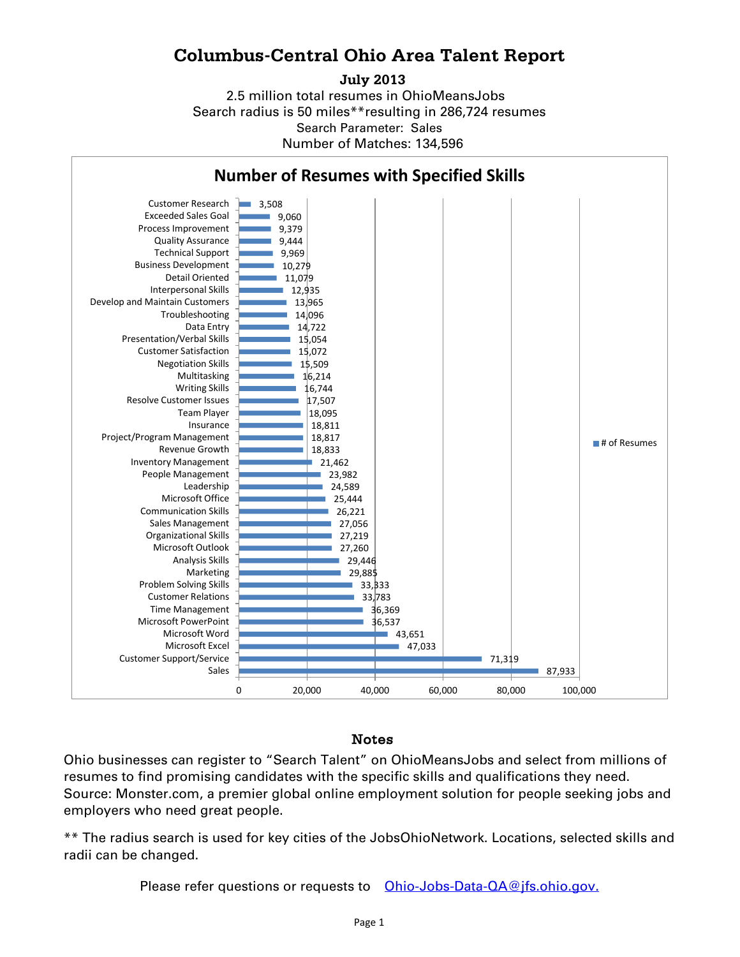# **Columbus-Central Ohio Area Talent Report**

#### **July 2013**

2.5 million total resumes in OhioMeansJobs Search radius is 50 miles\*\*resulting in 286,724 resumes Number of Matches: 134,596 Search Parameter: Sales



### Notes

Ohio businesses can register to "Search Talent" on OhioMeansJobs and select from millions of resumes to find promising candidates with the specific skills and qualifications they need. Source: Monster.com, a premier global online employment solution for people seeking jobs and employers who need great people.

\*\* The radius search is used for key cities of the JobsOhioNetwork. Locations, selected skills and radii can be changed.

Please refer questions or requests to [Ohio-Jobs-Data-QA@jfs.ohio.gov.](mailto:Ohio-Jobs-Data-QA@jfs.ohio.gov.)